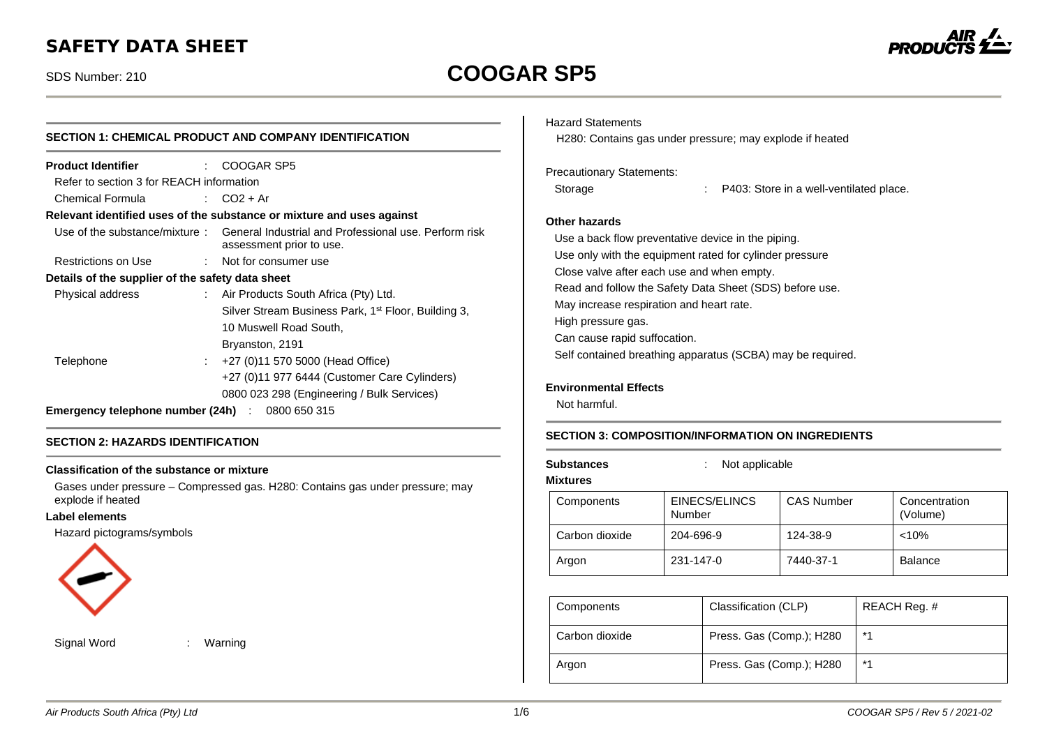## *SAFETY DATA SHEET*

# SDS Number: 210 **COOGAR SP5**



## **SECTION 1: CHEMICAL PRODUCT AND COMPANY IDENTIFICATION Product Identifier** : COOGAR SP5

| Refer to section 3 for REACH information                              |  |                                                                                                                 |  |  |
|-----------------------------------------------------------------------|--|-----------------------------------------------------------------------------------------------------------------|--|--|
| <b>Chemical Formula</b>                                               |  | $CO2 + Ar$                                                                                                      |  |  |
| Relevant identified uses of the substance or mixture and uses against |  |                                                                                                                 |  |  |
|                                                                       |  | Use of the substance/mixture: General Industrial and Professional use. Perform risk<br>assessment prior to use. |  |  |
| Restrictions on Use                                                   |  | : Not for consumer use                                                                                          |  |  |
| Details of the supplier of the safety data sheet                      |  |                                                                                                                 |  |  |
| Physical address                                                      |  | : Air Products South Africa (Pty) Ltd.                                                                          |  |  |
|                                                                       |  | Silver Stream Business Park, 1 <sup>st</sup> Floor, Building 3,                                                 |  |  |

|           | <b>Unver Otheam Dusiness Fairt, Fig. 1</b> Pullang C |
|-----------|------------------------------------------------------|
|           | 10 Muswell Road South,                               |
|           | Bryanston, 2191                                      |
| Telephone | +27 (0)11 570 5000 (Head Office)                     |
|           | +27 (0)11 977 6444 (Customer Care Cylinders)         |
|           | 0800 023 298 (Engineering / Bulk Services)           |
|           |                                                      |

**Emergency telephone number (24h)** : 0800 650 315

## **SECTION 2: HAZARDS IDENTIFICATION**

## **Classification of the substance or mixture**

Gases under pressure – Compressed gas. H280: Contains gas under pressure; may explode if heated

#### **Label elements**

Hazard pictograms/symbols



Signal Word : Warning

Hazard Statements

H280: Contains gas under pressure; may explode if heated

#### Precautionary Statements:

Storage : P403: Store in a well-ventilated place.

## **Other hazards**

Use a back flow preventative device in the piping. Use only with the equipment rated for cylinder pressure Close valve after each use and when empty. Read and follow the Safety Data Sheet (SDS) before use. May increase respiration and heart rate. High pressure gas. Can cause rapid suffocation. Self contained breathing apparatus (SCBA) may be required.

### **Environmental Effects**

Not harmful.

## **SECTION 3: COMPOSITION/INFORMATION ON INGREDIENTS**

**Mixtures**

**Substances** : Not applicable

|  |  | ٠ |
|--|--|---|
|  |  |   |
|  |  |   |

| Components     | EINECS/ELINCS<br>Number | <b>CAS Number</b> | Concentration<br>(Volume) |
|----------------|-------------------------|-------------------|---------------------------|
| Carbon dioxide | 204-696-9               | 124-38-9          | < 10%                     |
| Argon          | 231-147-0               | 7440-37-1         | Balance                   |

| Components     | Classification (CLP)     | REACH Reg. # |  |
|----------------|--------------------------|--------------|--|
| Carbon dioxide | Press. Gas (Comp.); H280 | $*1$         |  |
| Argon          | Press. Gas (Comp.); H280 | $*1$         |  |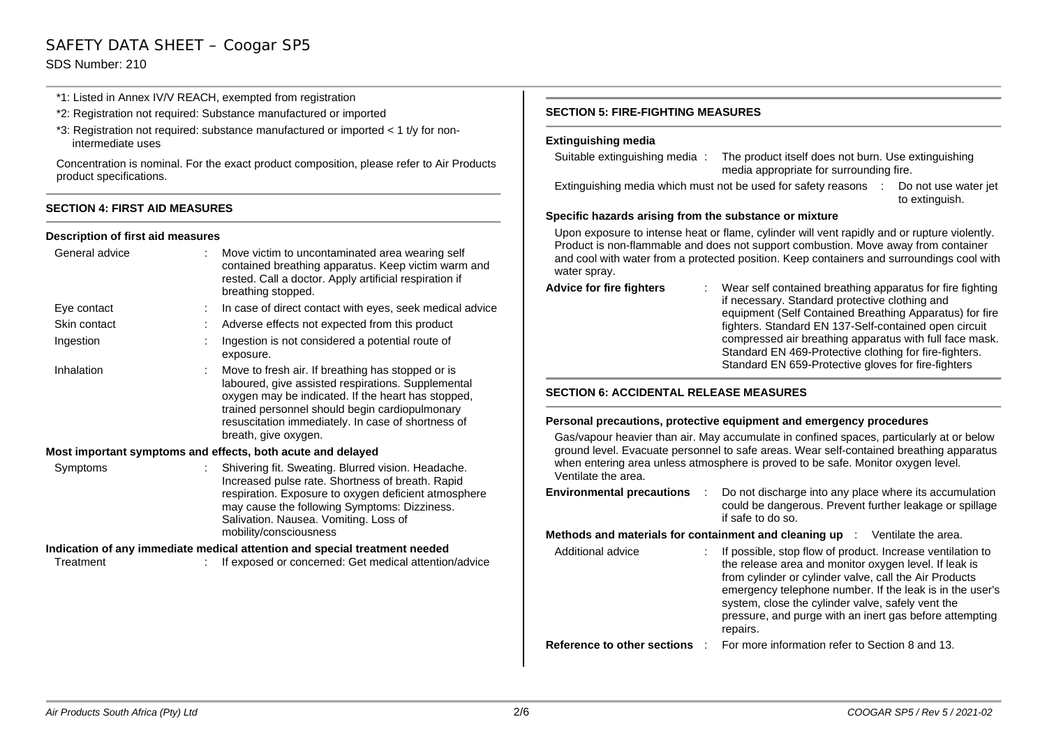## *SAFETY DATA SHEET – Coogar SP5* SDS Number: 210

\*1: Listed in Annex IV/V REACH, exempted from registration

- \*2: Registration not required: Substance manufactured or imported
- \*3: Registration not required: substance manufactured or imported < 1 t/y for nonintermediate uses

Concentration is nominal. For the exact product composition, please refer to Air Products product specifications.

## **SECTION 4: FIRST AID MEASURES**

#### **Description of first aid measures**

|   | Move victim to uncontaminated area wearing self<br>contained breathing apparatus. Keep victim warm and<br>rested. Call a doctor. Apply artificial respiration if<br>breathing stopped.                                                                                                        |
|---|-----------------------------------------------------------------------------------------------------------------------------------------------------------------------------------------------------------------------------------------------------------------------------------------------|
| ÷ | In case of direct contact with eyes, seek medical advice                                                                                                                                                                                                                                      |
|   | Adverse effects not expected from this product                                                                                                                                                                                                                                                |
|   | Ingestion is not considered a potential route of<br>exposure.                                                                                                                                                                                                                                 |
|   | Move to fresh air. If breathing has stopped or is<br>laboured, give assisted respirations. Supplemental<br>oxygen may be indicated. If the heart has stopped,<br>trained personnel should begin cardiopulmonary<br>resuscitation immediately. In case of shortness of<br>breath, give oxygen. |
|   | Most important symptoms and effects, both acute and delayed                                                                                                                                                                                                                                   |
|   | Shivering fit. Sweating. Blurred vision. Headache.<br>Increased pulse rate. Shortness of breath. Rapid<br>respiration. Exposure to oxygen deficient atmosphere<br>may cause the following Symptoms: Dizziness.<br>Salivation. Nausea. Vomiting. Loss of<br>mobility/consciousness             |
|   | Indication of any immediate medical attention and special treatment needed                                                                                                                                                                                                                    |
|   | If exposed or concerned: Get medical attention/advice                                                                                                                                                                                                                                         |
|   |                                                                                                                                                                                                                                                                                               |

## **SECTION 5: FIRE-FIGHTING MEASURES**

#### **Extinguishing media**

| Suitable extinguishing media:                                 | The product itself does not burn. Use extinguishing |                      |
|---------------------------------------------------------------|-----------------------------------------------------|----------------------|
|                                                               | media appropriate for surrounding fire.             |                      |
| Extinguishing media which must not be used for safety reasons |                                                     | Do not use water jet |

#### **Specific hazards arising from the substance or mixture**

Upon exposure to intense heat or flame, cylinder will vent rapidly and or rupture violently. Product is non-flammable and does not support combustion. Move away from container and cool with water from a protected position. Keep containers and surroundings cool with water spray.

**Advice for fire fighters** : Wear self contained breathing apparatus for fire fighting if necessary. Standard protective clothing and equipment (Self Contained Breathing Apparatus) for fire fighters. Standard EN 137-Self-contained open circuit compressed air breathing apparatus with full face mask. Standard EN 469-Protective clothing for fire-fighters. Standard EN 659-Protective gloves for fire-fighters

### **SECTION 6: ACCIDENTAL RELEASE MEASURES**

#### **Personal precautions, protective equipment and emergency procedures**

Gas/vapour heavier than air. May accumulate in confined spaces, particularly at or below ground level. Evacuate personnel to safe areas. Wear self-contained breathing apparatus when entering area unless atmosphere is proved to be safe. Monitor oxygen level. Ventilate the area.

**Environmental precautions** : Do not discharge into any place where its accumulation could be dangerous. Prevent further leakage or spillage if safe to do so.

**Methods and materials for containment and cleaning up** : Ventilate the area.

Additional advice : If possible, stop flow of product. Increase ventilation to the release area and monitor oxygen level. If leak is from cylinder or cylinder valve, call the Air Products emergency telephone number. If the leak is in the user's system, close the cylinder valve, safely vent the pressure, and purge with an inert gas before attempting repairs.

**Reference to other sections** : For more information refer to Section 8 and 13.

to extinguish.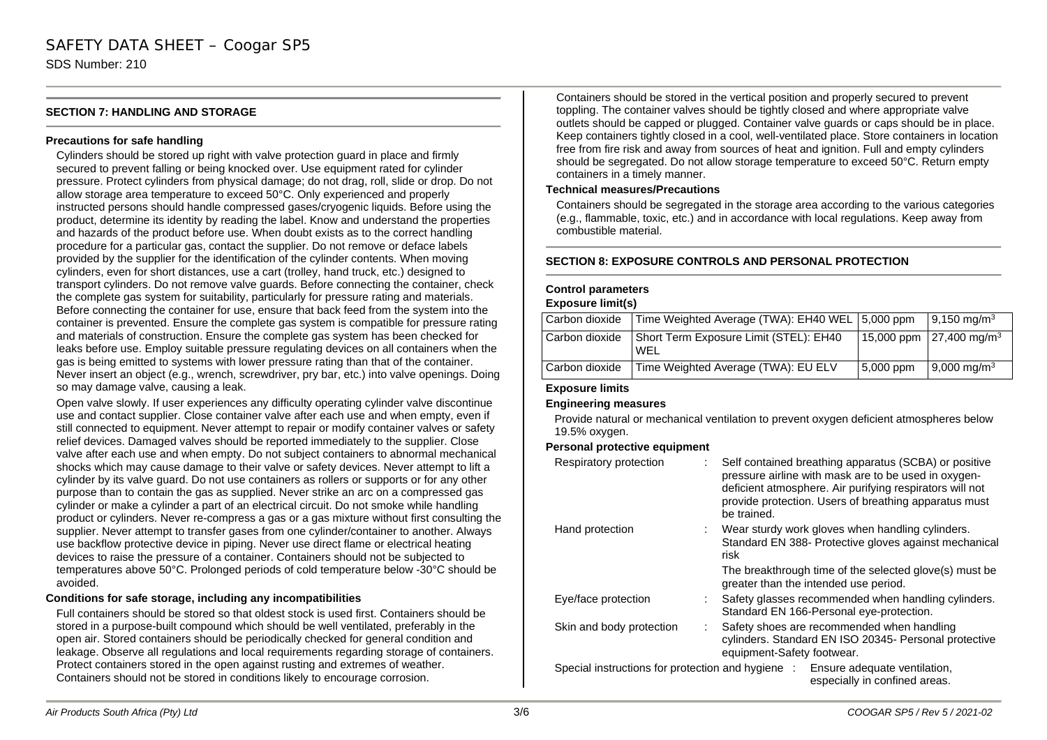## **SECTION 7: HANDLING AND STORAGE**

## **Precautions for safe handling**

Cylinders should be stored up right with valve protection guard in place and firmly secured to prevent falling or being knocked over. Use equipment rated for cylinder pressure. Protect cylinders from physical damage; do not drag, roll, slide or drop. Do not allow storage area temperature to exceed 50°C. Only experienced and properly instructed persons should handle compressed gases/cryogenic liquids. Before using the product, determine its identity by reading the label. Know and understand the properties and hazards of the product before use. When doubt exists as to the correct handling procedure for a particular gas, contact the supplier. Do not remove or deface labels provided by the supplier for the identification of the cylinder contents. When moving cylinders, even for short distances, use a cart (trolley, hand truck, etc.) designed to transport cylinders. Do not remove valve guards. Before connecting the container, check the complete gas system for suitability, particularly for pressure rating and materials. Before connecting the container for use, ensure that back feed from the system into the container is prevented. Ensure the complete gas system is compatible for pressure rating and materials of construction. Ensure the complete gas system has been checked for leaks before use. Employ suitable pressure regulating devices on all containers when the gas is being emitted to systems with lower pressure rating than that of the container. Never insert an object (e.g., wrench, screwdriver, pry bar, etc.) into valve openings. Doing so may damage valve, causing a leak.

Open valve slowly. If user experiences any difficulty operating cylinder valve discontinue use and contact supplier. Close container valve after each use and when empty, even if still connected to equipment. Never attempt to repair or modify container valves or safety relief devices. Damaged valves should be reported immediately to the supplier. Close valve after each use and when empty. Do not subject containers to abnormal mechanical shocks which may cause damage to their valve or safety devices. Never attempt to lift a cylinder by its valve guard. Do not use containers as rollers or supports or for any other purpose than to contain the gas as supplied. Never strike an arc on a compressed gas cylinder or make a cylinder a part of an electrical circuit. Do not smoke while handling product or cylinders. Never re-compress a gas or a gas mixture without first consulting the supplier. Never attempt to transfer gases from one cylinder/container to another. Always use backflow protective device in piping. Never use direct flame or electrical heating devices to raise the pressure of a container. Containers should not be subjected to temperatures above 50°C. Prolonged periods of cold temperature below -30°C should be avoided.

#### **Conditions for safe storage, including any incompatibilities**

Full containers should be stored so that oldest stock is used first. Containers should be stored in a purpose-built compound which should be well ventilated, preferably in the open air. Stored containers should be periodically checked for general condition and leakage. Observe all regulations and local requirements regarding storage of containers. Protect containers stored in the open against rusting and extremes of weather. Containers should not be stored in conditions likely to encourage corrosion.

Containers should be stored in the vertical position and properly secured to prevent toppling. The container valves should be tightly closed and where appropriate valve outlets should be capped or plugged. Container valve guards or caps should be in place. Keep containers tightly closed in a cool, well-ventilated place. Store containers in location free from fire risk and away from sources of heat and ignition. Full and empty cylinders should be segregated. Do not allow storage temperature to exceed 50°C. Return empty containers in a timely manner.

#### **Technical measures/Precautions**

Containers should be segregated in the storage area according to the various categories (e.g., flammable, toxic, etc.) and in accordance with local regulations. Keep away from combustible material.

## **SECTION 8: EXPOSURE CONTROLS AND PERSONAL PROTECTION**

## **Control parameters**

#### **Exposure limit(s)**

| Carbon dioxide | Time Weighted Average (TWA): EH40 WEL 5,000 ppm |           | 9,150 mg/m <sup>3</sup>                              |
|----------------|-------------------------------------------------|-----------|------------------------------------------------------|
| Carbon dioxide | Short Term Exposure Limit (STEL): EH40<br>WEL   |           | 15,000 ppm $\left  27,400 \right $ mg/m <sup>3</sup> |
| Carbon dioxide | Time Weighted Average (TWA): EU ELV             | 5,000 ppm | $9,000 \,\mathrm{mg/m^3}$                            |

## **Exposure limits**

#### **Engineering measures**

Provide natural or mechanical ventilation to prevent oxygen deficient atmospheres below 19.5% oxygen.

#### **Personal protective equipment**

| Respiratory protection   | Self contained breathing apparatus (SCBA) or positive<br>pressure airline with mask are to be used in oxygen-<br>deficient atmosphere. Air purifying respirators will not<br>provide protection. Users of breathing apparatus must<br>be trained. |
|--------------------------|---------------------------------------------------------------------------------------------------------------------------------------------------------------------------------------------------------------------------------------------------|
| Hand protection          | Wear sturdy work gloves when handling cylinders.<br>Standard EN 388- Protective gloves against mechanical<br>risk                                                                                                                                 |
|                          | The breakthrough time of the selected glove(s) must be<br>greater than the intended use period.                                                                                                                                                   |
| Eye/face protection      | Safety glasses recommended when handling cylinders.<br>Standard EN 166-Personal eye-protection.                                                                                                                                                   |
| Skin and body protection | Safety shoes are recommended when handling<br>cylinders. Standard EN ISO 20345- Personal protective<br>equipment-Safety footwear.                                                                                                                 |
|                          | Special instructions for protection and hygiene : Ensure adequate ventilation,<br>especially in confined areas.                                                                                                                                   |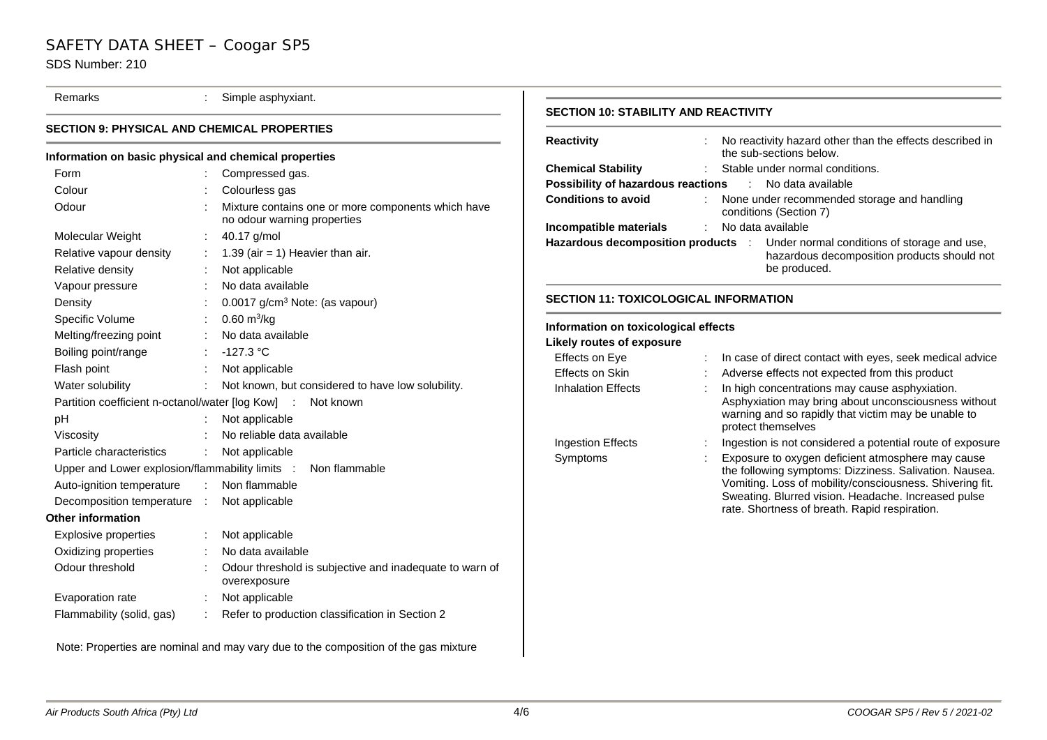## *SAFETY DATA SHEET – Coogar SP5*

SDS Number: 210

| Remarks                                               |           | Simple asphyxiant.                                                                  |                                              |                                                                                     |
|-------------------------------------------------------|-----------|-------------------------------------------------------------------------------------|----------------------------------------------|-------------------------------------------------------------------------------------|
| <b>SECTION 9: PHYSICAL AND CHEMICAL PROPERTIES</b>    |           |                                                                                     | <b>SECTION 10: STABILITY AND REACTIVITY</b>  |                                                                                     |
| Information on basic physical and chemical properties |           |                                                                                     | <b>Reactivity</b>                            | No reactivity hazard other than the effects described in<br>the sub-sections below. |
| Form                                                  |           | Compressed gas.                                                                     | <b>Chemical Stability</b>                    | Stable under normal conditions.                                                     |
| Colour                                                |           | Colourless gas                                                                      | Possibility of hazardous reactions           | $\sim 10^{-1}$<br>No data available                                                 |
| Odour                                                 |           | Mixture contains one or more components which have                                  | <b>Conditions to avoid</b>                   | None under recommended storage and handling<br>conditions (Section 7)               |
|                                                       |           | no odour warning properties                                                         | Incompatible materials                       | No data available                                                                   |
| Molecular Weight                                      |           | 40.17 g/mol                                                                         | Hazardous decomposition products :           | Under normal conditions of storage and use,                                         |
| Relative vapour density                               |           | 1.39 (air = 1) Heavier than air.                                                    |                                              | hazardous decomposition products should not                                         |
| Relative density                                      |           | Not applicable                                                                      |                                              | be produced.                                                                        |
| Vapour pressure                                       |           | No data available                                                                   |                                              |                                                                                     |
| Density                                               |           | 0.0017 g/cm <sup>3</sup> Note: (as vapour)                                          | <b>SECTION 11: TOXICOLOGICAL INFORMATION</b> |                                                                                     |
| Specific Volume                                       |           | $0.60 \text{ m}^3/\text{kg}$                                                        | Information on toxicological effects         |                                                                                     |
| Melting/freezing point                                |           | No data available                                                                   | Likely routes of exposure                    |                                                                                     |
| Boiling point/range                                   |           | $-127.3 °C$                                                                         | Effects on Eye                               | In case of direct contact with eyes, seek medical advice                            |
| Flash point                                           |           | Not applicable                                                                      | Effects on Skin                              | Adverse effects not expected from this product                                      |
| Water solubility                                      |           | Not known, but considered to have low solubility.                                   | <b>Inhalation Effects</b>                    | In high concentrations may cause asphyxiation.                                      |
| Partition coefficient n-octanol/water [log Kow] :     |           | Not known                                                                           |                                              | Asphyxiation may bring about unconsciousness without                                |
| pH                                                    |           | Not applicable                                                                      |                                              | warning and so rapidly that victim may be unable to                                 |
| Viscosity                                             |           | No reliable data available                                                          | <b>Ingestion Effects</b>                     | protect themselves<br>Ingestion is not considered a potential route of exposure     |
| Particle characteristics                              |           | Not applicable                                                                      | Symptoms                                     | Exposure to oxygen deficient atmosphere may cause                                   |
| Upper and Lower explosion/flammability limits         |           | Non flammable                                                                       |                                              | the following symptoms: Dizziness. Salivation. Nausea.                              |
| Auto-ignition temperature                             |           | Non flammable                                                                       |                                              | Vomiting. Loss of mobility/consciousness. Shivering fit.                            |
| Decomposition temperature                             | $\sim$ 1. | Not applicable                                                                      |                                              | Sweating. Blurred vision. Headache. Increased pulse                                 |
| <b>Other information</b>                              |           |                                                                                     |                                              | rate. Shortness of breath. Rapid respiration.                                       |
| <b>Explosive properties</b>                           |           | Not applicable                                                                      |                                              |                                                                                     |
| Oxidizing properties                                  |           | No data available                                                                   |                                              |                                                                                     |
| Odour threshold                                       |           | Odour threshold is subjective and inadequate to warn of<br>overexposure             |                                              |                                                                                     |
| Evaporation rate                                      |           | Not applicable                                                                      |                                              |                                                                                     |
| Flammability (solid, gas)                             |           | Refer to production classification in Section 2                                     |                                              |                                                                                     |
|                                                       |           | Note: Properties are nominal and may vary due to the composition of the gas mixture |                                              |                                                                                     |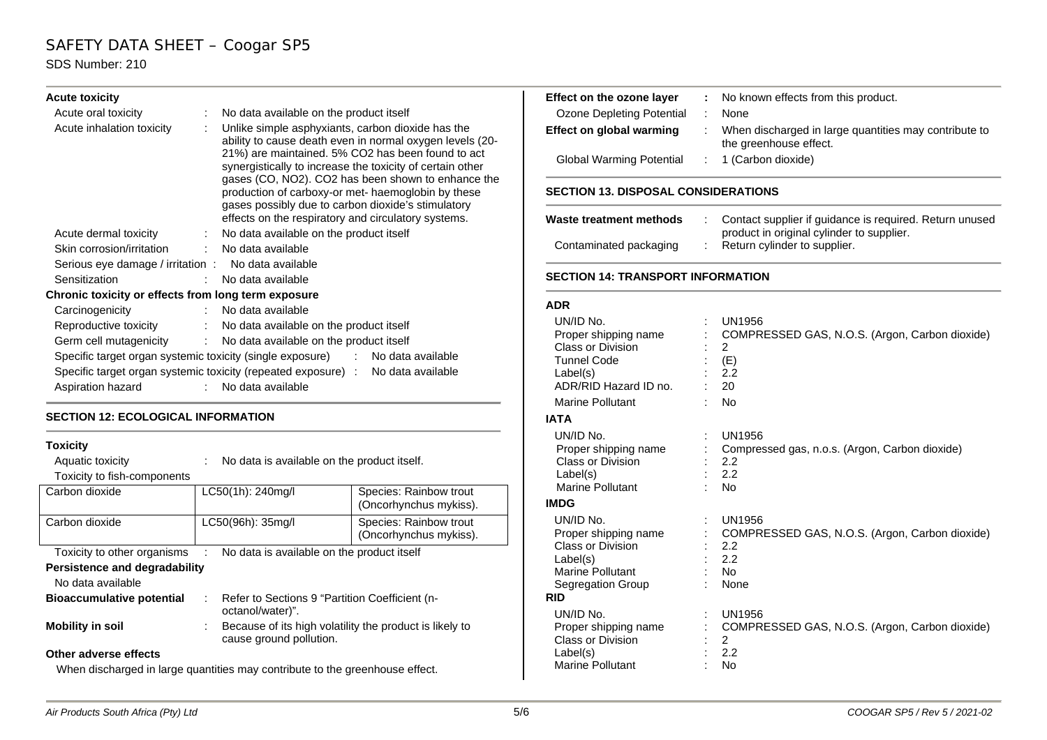## *SAFETY DATA SHEET – Coogar SP5*

## SDS Number: 210

#### **Acute toxicity**

|      | No data available on the product itself                                                                                                                                                                                                                                                                                                                                                                                                                  |
|------|----------------------------------------------------------------------------------------------------------------------------------------------------------------------------------------------------------------------------------------------------------------------------------------------------------------------------------------------------------------------------------------------------------------------------------------------------------|
| ÷    | Unlike simple asphyxiants, carbon dioxide has the<br>ability to cause death even in normal oxygen levels (20-<br>21%) are maintained. 5% CO2 has been found to act<br>synergistically to increase the toxicity of certain other<br>gases (CO, NO2). CO2 has been shown to enhance the<br>production of carboxy-or met- haemoglobin by these<br>gases possibly due to carbon dioxide's stimulatory<br>effects on the respiratory and circulatory systems. |
|      | : No data available on the product itself                                                                                                                                                                                                                                                                                                                                                                                                                |
|      | : No data available                                                                                                                                                                                                                                                                                                                                                                                                                                      |
|      | Serious eye damage / irritation : No data available                                                                                                                                                                                                                                                                                                                                                                                                      |
| t in | No data available                                                                                                                                                                                                                                                                                                                                                                                                                                        |
|      | Chronic toxicity or effects from long term exposure                                                                                                                                                                                                                                                                                                                                                                                                      |
|      | : No data available                                                                                                                                                                                                                                                                                                                                                                                                                                      |
|      | : No data available on the product itself                                                                                                                                                                                                                                                                                                                                                                                                                |
|      | $\therefore$ No data available on the product itself                                                                                                                                                                                                                                                                                                                                                                                                     |
|      | Specific target organ systemic toxicity (single exposure) : No data available<br>Specific target organ systemic toxicity (repeated exposure) : No data available<br>: No data available                                                                                                                                                                                                                                                                  |
|      | Germ cell mutagenicity                                                                                                                                                                                                                                                                                                                                                                                                                                   |

## **SECTION 12: ECOLOGICAL INFORMATION**

| <b>Toxicity</b><br>Aquatic toxicity<br>Toxicity to fish-components                       | No data is available on the product itself.                          |                                                         |  |  |  |
|------------------------------------------------------------------------------------------|----------------------------------------------------------------------|---------------------------------------------------------|--|--|--|
| Carbon dioxide                                                                           | LC50(1h): 240mg/l                                                    | Species: Rainbow trout<br>(Oncorhynchus mykiss).        |  |  |  |
| Carbon dioxide                                                                           | LC50(96h): 35mg/l                                                    | Species: Rainbow trout<br>(Oncorhynchus mykiss).        |  |  |  |
| No data is available on the product itself<br>Toxicity to other organisms<br>$\sim 10^6$ |                                                                      |                                                         |  |  |  |
| Persistence and degradability                                                            |                                                                      |                                                         |  |  |  |
| No data available                                                                        |                                                                      |                                                         |  |  |  |
| <b>Bioaccumulative potential</b>                                                         | : Refer to Sections 9 "Partition Coefficient (n-<br>octanol/water)". |                                                         |  |  |  |
| <b>Mobility in soil</b>                                                                  | cause ground pollution.                                              | Because of its high volatility the product is likely to |  |  |  |
| Other adverse effects                                                                    |                                                                      |                                                         |  |  |  |
| When discharged in large quantities may contribute to the greenhouse effect.             |                                                                      |                                                         |  |  |  |

| Effect on the ozone layer       |   | : No known effects from this product.                                           |
|---------------------------------|---|---------------------------------------------------------------------------------|
| Ozone Depleting Potential       | ٠ | <b>None</b>                                                                     |
| <b>Effect on global warming</b> |   | When discharged in large quantities may contribute to<br>the greenhouse effect. |
| Global Warming Potential        |   | : 1 (Carbon dioxide)                                                            |

## **SECTION 13. DISPOSAL CONSIDERATIONS**

| Waste treatment methods | Contact supplier if guidance is required. Return unused                   |
|-------------------------|---------------------------------------------------------------------------|
| Contaminated packaging  | product in original cylinder to supplier.<br>Return cylinder to supplier. |

## **SECTION 14: TRANSPORT INFORMATION**

#### **ADR**

| UN/ID No.<br>Proper shipping name<br>Class or Division<br><b>Tunnel Code</b><br>Label(s)<br>ADR/RID Hazard ID no.                   | UN1956<br>COMPRESSED GAS, N.O.S. (Argon, Carbon dioxide)<br>2<br>(E)<br>2.2<br>20    |
|-------------------------------------------------------------------------------------------------------------------------------------|--------------------------------------------------------------------------------------|
| Marine Pollutant                                                                                                                    | <b>No</b>                                                                            |
| <b>IATA</b>                                                                                                                         |                                                                                      |
| UN/ID No.<br>Proper shipping name<br><b>Class or Division</b><br>Label(s)<br>Marine Pollutant                                       | <b>UN1956</b><br>Compressed gas, n.o.s. (Argon, Carbon dioxide)<br>2.2<br>2.2<br>No  |
| <b>IMDG</b>                                                                                                                         |                                                                                      |
| UN/ID No.<br>$\ddot{\phantom{a}}$<br>Proper shipping name<br>Class or Division<br>Label(s)<br>Marine Pollutant<br>Segregation Group | UN1956<br>COMPRESSED GAS, N.O.S. (Argon, Carbon dioxide)<br>2.2<br>2.2<br>No<br>None |
| <b>RID</b>                                                                                                                          |                                                                                      |
| UN/ID No.<br>Proper shipping name<br>Class or Division<br>Label(s)<br>٠<br>Marine Pollutant                                         | UN1956<br>COMPRESSED GAS, N.O.S. (Argon, Carbon dioxide)<br>2<br>2.2<br>No           |